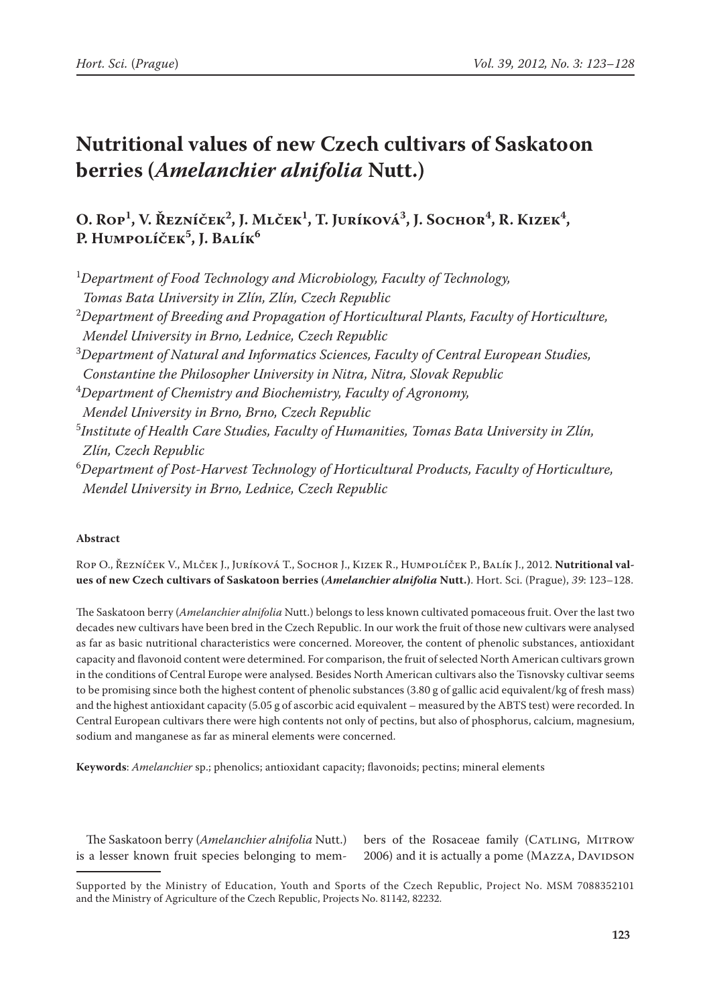# **Nutritional values of new Czech cultivars of Saskatoon berries (***Amelanchier alnifolia* **Nutt.)**

## O. Rop<sup>1</sup>, V. Řezníček<sup>2</sup>, J. Mlček<sup>1</sup>, T. Juríková<sup>3</sup>, J. Sochor<sup>4</sup>, R. Kizek<sup>4</sup>, **P. Humpolíček5 , J. Balík6**

1 *Department of Food Technology and Microbiology, Faculty of Technology, Tomas Bata University in Zlín, Zlín, Czech Republic* 2 *Department of Breeding and Propagation of Horticultural Plants, Faculty of Horticulture, Mendel University in Brno, Lednice, Czech Republic* 3 *Department of Natural and Informatics Sciences, Faculty of Central European Studies, Constantine the Philosopher University in Nitra, Nitra, Slovak Republic* 4 *Department of Chemistry and Biochemistry, Faculty of Agronomy, Mendel University in Brno, Brno, Czech Republic* 5 *Institute of Health Care Studies, Faculty of Humanities, Tomas Bata University in Zlín, Zlín, Czech Republic* 6 *Department of Post-Harvest Technology of Horticultural Products, Faculty of Horticulture, Mendel University in Brno, Lednice, Czech Republic*

### **Abstract**

Rop O., Řezníček V., Mlček J., Juríková T., Sochor J., Kizek R., Humpolíček P., Balík J., 2012. **Nutritional values of new Czech cultivars of Saskatoon berries (***Amelanchier alnifolia* **Nutt.)**. Hort. Sci. (Prague), *39*: 123–128.

The Saskatoon berry (*Amelanchier alnifolia* Nutt.) belongs to less known cultivated pomaceous fruit. Over the last two decades new cultivars have been bred in the Czech Republic. In our work the fruit of those new cultivars were analysed as far as basic nutritional characteristics were concerned. Moreover, the content of phenolic substances, antioxidant capacity and flavonoid content were determined. For comparison, the fruit of selected North American cultivars grown in the conditions of Central Europe were analysed. Besides North American cultivars also the Tisnovsky cultivar seems to be promising since both the highest content of phenolic substances (3.80 g of gallic acid equivalent/kg of fresh mass) and the highest antioxidant capacity (5.05 g of ascorbic acid equivalent – measured by the ABTS test) were recorded. In Central European cultivars there were high contents not only of pectins, but also of phosphorus, calcium, magnesium, sodium and manganese as far as mineral elements were concerned.

**Keywords**: *Amelanchier* sp.; phenolics; antioxidant capacity; flavonoids; pectins; mineral elements

The Saskatoon berry (*Amelanchier alnifolia* Nutt.) is a lesser known fruit species belonging to mem-

bers of the Rosaceae family (CATLING, MITROW 2006) and it is actually a pome (MAZZA, DAVIDSON

Supported by the Ministry of Education, Youth and Sports of the Czech Republic, Project No. MSM 7088352101 and the Ministry of Agriculture of the Czech Republic, Projects No. 81142, 82232.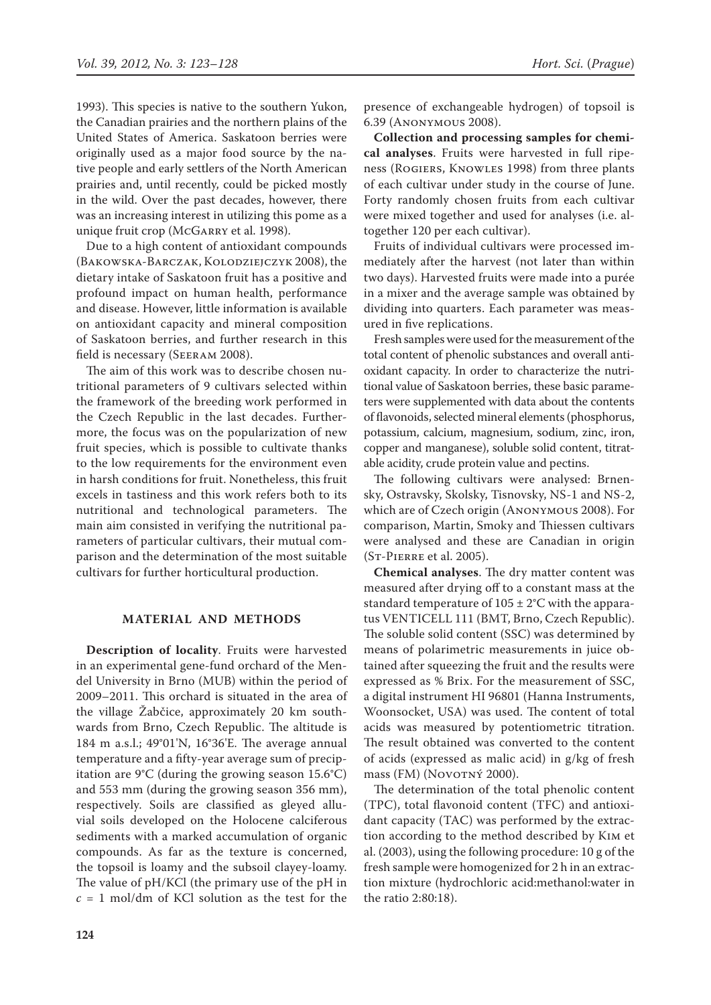1993). This species is native to the southern Yukon, the Canadian prairies and the northern plains of the United States of America. Saskatoon berries were originally used as a major food source by the native people and early settlers of the North American prairies and, until recently, could be picked mostly in the wild. Over the past decades, however, there was an increasing interest in utilizing this pome as a unique fruit crop (McGARRY et al. 1998).

Due to a high content of antioxidant compounds (Bakowska-Barczak, Kolodziejczyk 2008), the dietary intake of Saskatoon fruit has a positive and profound impact on human health, performance and disease. However, little information is available on antioxidant capacity and mineral composition of Saskatoon berries, and further research in this field is necessary (Seeram 2008).

The aim of this work was to describe chosen nutritional parameters of 9 cultivars selected within the framework of the breeding work performed in the Czech Republic in the last decades. Furthermore, the focus was on the popularization of new fruit species, which is possible to cultivate thanks to the low requirements for the environment even in harsh conditions for fruit. Nonetheless, this fruit excels in tastiness and this work refers both to its nutritional and technological parameters. The main aim consisted in verifying the nutritional parameters of particular cultivars, their mutual comparison and the determination of the most suitable cultivars for further horticultural production.

#### **MATERIAL AND METHODS**

**Description of locality**. Fruits were harvested in an experimental gene-fund orchard of the Mendel University in Brno (MUB) within the period of 2009–2011. This orchard is situated in the area of the village Žabčice, approximately 20 km southwards from Brno, Czech Republic. The altitude is 184 m a.s.l.; 49°01'N, 16°36'E. The average annual temperature and a fifty-year average sum of precipitation are 9°C (during the growing season 15.6°C) and 553 mm (during the growing season 356 mm), respectively. Soils are classified as gleyed alluvial soils developed on the Holocene calciferous sediments with a marked accumulation of organic compounds. As far as the texture is concerned, the topsoil is loamy and the subsoil clayey-loamy. The value of pH/KCl (the primary use of the pH in  $c = 1$  mol/dm of KCl solution as the test for the

presence of exchangeable hydrogen) of topsoil is 6.39 (Anonymous 2008).

**Collection and processing samples for chemical analyses**. Fruits were harvested in full ripeness (Rogiers, Knowles 1998) from three plants of each cultivar under study in the course of June. Forty randomly chosen fruits from each cultivar were mixed together and used for analyses (i.e. altogether 120 per each cultivar).

Fruits of individual cultivars were processed immediately after the harvest (not later than within two days). Harvested fruits were made into a purée in a mixer and the average sample was obtained by dividing into quarters. Each parameter was measured in five replications.

Fresh samples were used for the measurement of the total content of phenolic substances and overall antioxidant capacity. In order to characterize the nutritional value of Saskatoon berries, these basic parameters were supplemented with data about the contents of flavonoids, selected mineral elements (phosphorus, potassium, calcium, magnesium, sodium, zinc, iron, copper and manganese), soluble solid content, titratable acidity, crude protein value and pectins.

The following cultivars were analysed: Brnensky, Ostravsky, Skolsky, Tisnovsky, NS-1 and NS-2, which are of Czech origin (Anonymous 2008). For comparison, Martin, Smoky and Thiessen cultivars were analysed and these are Canadian in origin (St-Pierre et al. 2005).

**Chemical analyses**. The dry matter content was measured after drying off to a constant mass at the standard temperature of  $105 \pm 2$ °C with the apparatus VENTICELL 111 (BMT, Brno, Czech Republic). The soluble solid content (SSC) was determined by means of polarimetric measurements in juice obtained after squeezing the fruit and the results were expressed as % Brix. For the measurement of SSC, a digital instrument HI 96801 (Hanna Instruments, Woonsocket, USA) was used. The content of total acids was measured by potentiometric titration. The result obtained was converted to the content of acids (expressed as malic acid) in g/kg of fresh mass (FM) (NOVOTNÝ 2000).

The determination of the total phenolic content (TPC), total flavonoid content (TFC) and antioxidant capacity (TAC) was performed by the extraction according to the method described by Kim et al. (2003), using the following procedure: 10 g of the fresh sample were homogenized for 2 h in an extraction mixture (hydrochloric acid:methanol:water in the ratio 2:80:18).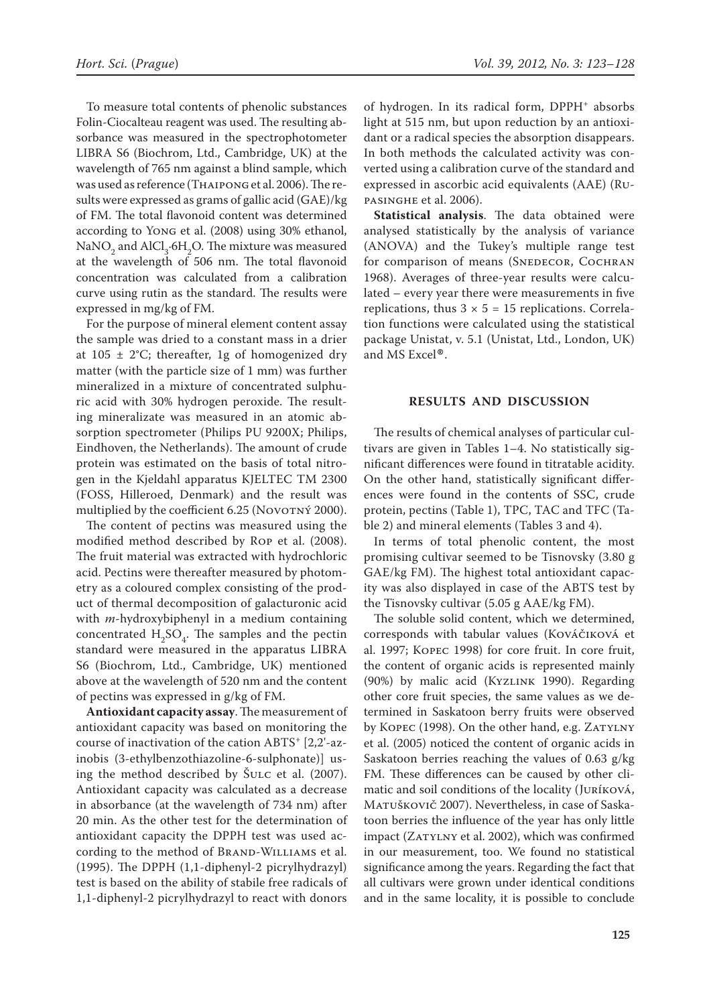To measure total contents of phenolic substances Folin-Ciocalteau reagent was used. The resulting absorbance was measured in the spectrophotometer LIBRA S6 (Biochrom, Ltd., Cambridge, UK) at the wavelength of 765 nm against a blind sample, which was used as reference (Thaipong et al. 2006). The results were expressed as grams of gallic acid (GAE)/kg of FM. The total flavonoid content was determined according to Yong et al. (2008) using 30% ethanol, NaNO<sub>2</sub> and AlCl<sub>3</sub>.6H<sub>2</sub>O. The mixture was measured at the wavelength of 506 nm. The total flavonoid concentration was calculated from a calibration curve using rutin as the standard. The results were expressed in mg/kg of FM.

For the purpose of mineral element content assay the sample was dried to a constant mass in a drier at  $105 \pm 2$ °C; thereafter, 1g of homogenized dry matter (with the particle size of 1 mm) was further mineralized in a mixture of concentrated sulphuric acid with 30% hydrogen peroxide. The resulting mineralizate was measured in an atomic absorption spectrometer (Philips PU 9200X; Philips, Eindhoven, the Netherlands). The amount of crude protein was estimated on the basis of total nitrogen in the Kjeldahl apparatus KJELTEC TM 2300 (FOSS, Hilleroed, Denmark) and the result was multiplied by the coefficient 6.25 (NOVOTNÝ 2000).

The content of pectins was measured using the modified method described by Rop et al. (2008). The fruit material was extracted with hydrochloric acid. Pectins were thereafter measured by photometry as a coloured complex consisting of the product of thermal decomposition of galacturonic acid with *m*-hydroxybiphenyl in a medium containing concentrated  $H_2SO_4$ . The samples and the pectin standard were measured in the apparatus LIBRA S6 (Biochrom, Ltd., Cambridge, UK) mentioned above at the wavelength of 520 nm and the content of pectins was expressed in g/kg of FM.

**Antioxidant capacity assay**.The measurement of antioxidant capacity was based on monitoring the course of inactivation of the cation ABTS+ [2,2'-azinobis (3-ethylbenzothiazoline-6-sulphonate)] using the method described by Šulc et al. (2007). Antioxidant capacity was calculated as a decrease in absorbance (at the wavelength of 734 nm) after 20 min. As the other test for the determination of antioxidant capacity the DPPH test was used according to the method of BRAND-WILLIAMS et al. (1995). The DPPH (1,1-diphenyl-2 picrylhydrazyl) test is based on the ability of stabile free radicals of 1,1-diphenyl-2 picrylhydrazyl to react with donors

of hydrogen. In its radical form, DPPH<sup>+</sup> absorbs light at 515 nm, but upon reduction by an antioxidant or a radical species the absorption disappears. In both methods the calculated activity was converted using a calibration curve of the standard and expressed in ascorbic acid equivalents (AAE) (Rupasinghe et al. 2006).

**Statistical analysis**. The data obtained were analysed statistically by the analysis of variance (ANOVA) and the Tukey's multiple range test for comparison of means (SNEDECOR, COCHRAN 1968). Averages of three-year results were calculated – every year there were measurements in five replications, thus  $3 \times 5 = 15$  replications. Correlation functions were calculated using the statistical package Unistat, v. 5.1 (Unistat, Ltd., London, UK) and MS Excel®.

#### **RESULTS AND DISCUSSION**

The results of chemical analyses of particular cultivars are given in Tables 1–4. No statistically significant differences were found in titratable acidity. On the other hand, statistically significant differences were found in the contents of SSC, crude protein, pectins (Table 1), TPC, TAC and TFC (Table 2) and mineral elements (Tables 3 and 4).

In terms of total phenolic content, the most promising cultivar seemed to be Tisnovsky (3.80 g GAE/kg FM). The highest total antioxidant capacity was also displayed in case of the ABTS test by the Tisnovsky cultivar (5.05 g AAE/kg FM).

The soluble solid content, which we determined, corresponds with tabular values (Kováčiková et al. 1997; Kopec 1998) for core fruit. In core fruit, the content of organic acids is represented mainly (90%) by malic acid (Kyzlink 1990). Regarding other core fruit species, the same values as we determined in Saskatoon berry fruits were observed by KOPEC (1998). On the other hand, e.g. ZATYLNY et al. (2005) noticed the content of organic acids in Saskatoon berries reaching the values of 0.63 g/kg FM. These differences can be caused by other climatic and soil conditions of the locality (Juríková, MATUŠKOVIČ 2007). Nevertheless, in case of Saskatoon berries the influence of the year has only little impact (ZATYLNY et al. 2002), which was confirmed in our measurement, too. We found no statistical significance among the years. Regarding the fact that all cultivars were grown under identical conditions and in the same locality, it is possible to conclude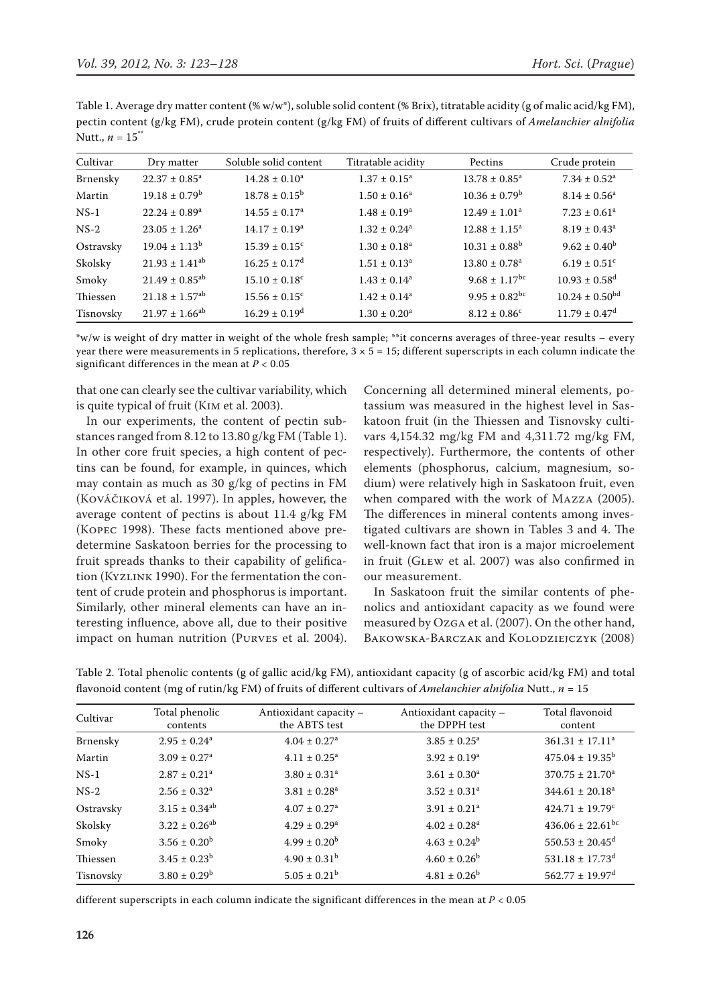Table 1. Average dry matter content (% w/w\*), soluble solid content (% Brix), titratable acidity (g of malic acid/kg FM), pectin content (g/kg FM), crude protein content (g/kg FM) of fruits of different cultivars of *Amelanchier alnifolia* Nutt.,  $n = 15$ <sup>\*\*</sup>

| Cultivar  | Dry matter                     | Soluble solid content         | Titratable acidity | Pectins                       | Crude protein                 |
|-----------|--------------------------------|-------------------------------|--------------------|-------------------------------|-------------------------------|
| Brnensky  | $22.37 \pm 0.85^a$             | $14.28 \pm 0.10^a$            | $1.37 \pm 0.15^a$  | $13.78 \pm 0.85^{\circ}$      | $7.34 \pm 0.52$ <sup>a</sup>  |
| Martin    | $19.18 \pm 0.79^{\rm b}$       | $18.78 \pm 0.15^{\rm b}$      | $1.50 \pm 0.16^a$  | $10.36 \pm 0.79^{\rm b}$      | $8.14 \pm 0.56^a$             |
| $NS-1$    | $22.24 \pm 0.89$ <sup>a</sup>  | $14.55 \pm 0.17^a$            | $1.48 \pm 0.19^a$  | $12.49 \pm 1.01^a$            | $7.23 \pm 0.61$ <sup>a</sup>  |
| $NS-2$    | $23.05 \pm 1.26^a$             | $14.17 \pm 0.19^a$            | $1.32 \pm 0.24^a$  | $12.88 \pm 1.15^a$            | $8.19 \pm 0.43^a$             |
| Ostravsky | $19.04 + 1.13^b$               | $15.39 \pm 0.15^{\circ}$      | $1.30 \pm 0.18^a$  | $10.31 + 0.88^{b}$            | $9.62 \pm 0.40^{\rm b}$       |
| Skolsky   | $21.93 \pm 1.41^{ab}$          | $16.25 \pm 0.17$ <sup>d</sup> | $1.51 \pm 0.13^a$  | $13.80 \pm 0.78$ <sup>a</sup> | $6.19 \pm 0.51$ <sup>c</sup>  |
| Smoky     | $21.49 \pm 0.85^{ab}$          | $15.10 \pm 0.18$ <sup>c</sup> | $1.43 \pm 0.14^a$  | $9.68 \pm 1.17$ <sup>bc</sup> | $10.93 \pm 0.58$ <sup>d</sup> |
| Thiessen  | $21.18 \pm 1.57$ <sup>ab</sup> | $15.56 \pm 0.15^{\circ}$      | $1.42 \pm 0.14^a$  | $9.95 \pm 0.82^{bc}$          | $10.24 \pm 0.50^{bd}$         |
| Tisnovsky | $21.97 \pm 1.66^{ab}$          | $16.29 \pm 0.19^{\rm d}$      | $1.30 \pm 0.20^a$  | $8.12 \pm 0.86^c$             | $11.79 \pm 0.47$ <sup>d</sup> |

\*w/w is weight of dry matter in weight of the whole fresh sample; \*\*it concerns averages of three-year results – every year there were measurements in 5 replications, therefore,  $3 \times 5 = 15$ ; different superscripts in each column indicate the significant differences in the mean at  $P < 0.05$ 

that one can clearly see the cultivar variability, which is quite typical of fruit (Kim et al. 2003).

In our experiments, the content of pectin substances ranged from 8.12 to 13.80 g/kg FM (Table 1). In other core fruit species, a high content of pectins can be found, for example, in quinces, which may contain as much as 30 g/kg of pectins in FM (Kováčiková et al. 1997). In apples, however, the average content of pectins is about 11.4 g/kg FM (Kopec 1998). These facts mentioned above predetermine Saskatoon berries for the processing to fruit spreads thanks to their capability of gelification (Kyzlink 1990). For the fermentation the content of crude protein and phosphorus is important. Similarly, other mineral elements can have an interesting influence, above all, due to their positive impact on human nutrition (Purves et al. 2004). Concerning all determined mineral elements, potassium was measured in the highest level in Saskatoon fruit (in the Thiessen and Tisnovsky cultivars 4,154.32 mg/kg FM and 4,311.72 mg/kg FM, respectively). Furthermore, the contents of other elements (phosphorus, calcium, magnesium, sodium) were relatively high in Saskatoon fruit, even when compared with the work of Mazza (2005). The differences in mineral contents among investigated cultivars are shown in Tables 3 and 4. The well-known fact that iron is a major microelement in fruit (Glew et al. 2007) was also confirmed in our measurement.

In Saskatoon fruit the similar contents of phenolics and antioxidant capacity as we found were measured by Ozga et al. (2007). On the other hand, BAKOWSKA-BARCZAK and KOLODZIEJCZYK (2008)

Table 2. Total phenolic contents (g of gallic acid/kg FM), antioxidant capacity (g of ascorbic acid/kg FM) and total flavonoid content (mg of rutin/kg FM) of fruits of different cultivars of *Amelanchier alnifolia* Nutt., *n* = 15

| Cultivar  | Total phenolic<br>contents   | Antioxidant capacity -<br>the ABTS test | Antioxidant capacity -<br>the DPPH test | Total flavonoid<br>content       |
|-----------|------------------------------|-----------------------------------------|-----------------------------------------|----------------------------------|
| Brnensky  | $2.95 \pm 0.24$ <sup>a</sup> | $4.04 \pm 0.27$ <sup>a</sup>            | $3.85 \pm 0.25^{\text{a}}$              | $361.31 \pm 17.11^a$             |
| Martin    | $3.09 \pm 0.27$ <sup>a</sup> | $4.11 \pm 0.25^a$                       | $3.92 \pm 0.19^a$                       | $475.04 \pm 19.35^{\rm b}$       |
| $NS-1$    | $2.87 \pm 0.21$ <sup>a</sup> | $3.80 \pm 0.31$ <sup>a</sup>            | $3.61 \pm 0.30^a$                       | $370.75 \pm 21.70^a$             |
| $NS-2$    | $2.56 \pm 0.32$ <sup>a</sup> | $3.81 \pm 0.28$ <sup>a</sup>            | $3.52 \pm 0.31^a$                       | $344.61 \pm 20.18^a$             |
| Ostravsky | $3.15 \pm 0.34^{ab}$         | $4.07 \pm 0.27$ <sup>a</sup>            | $3.91 \pm 0.21$ <sup>a</sup>            | $424.71 \pm 19.79$ <sup>c</sup>  |
| Skolsky   | $3.22 \pm 0.26^{ab}$         | $4.29 \pm 0.29$ <sup>a</sup>            | $4.02 \pm 0.28$ <sup>a</sup>            | $436.06 \pm 22.61$ <sup>bc</sup> |
| Smoky     | $3.56 \pm 0.20^b$            | $4.99 \pm 0.20^b$                       | $4.63 \pm 0.24^b$                       | $550.53 \pm 20.45$ <sup>d</sup>  |
| Thiessen  | $3.45 \pm 0.23^b$            | $4.90 \pm 0.31^b$                       | $4.60 \pm 0.26^b$                       | $531.18 \pm 17.73$ <sup>d</sup>  |
| Tisnovsky | $3.80 \pm 0.29^{\rm b}$      | $5.05 \pm 0.21^b$                       | $4.81 \pm 0.26^b$                       | $562.77 \pm 19.97$ <sup>d</sup>  |

different superscripts in each column indicate the significant differences in the mean at *P* < 0.05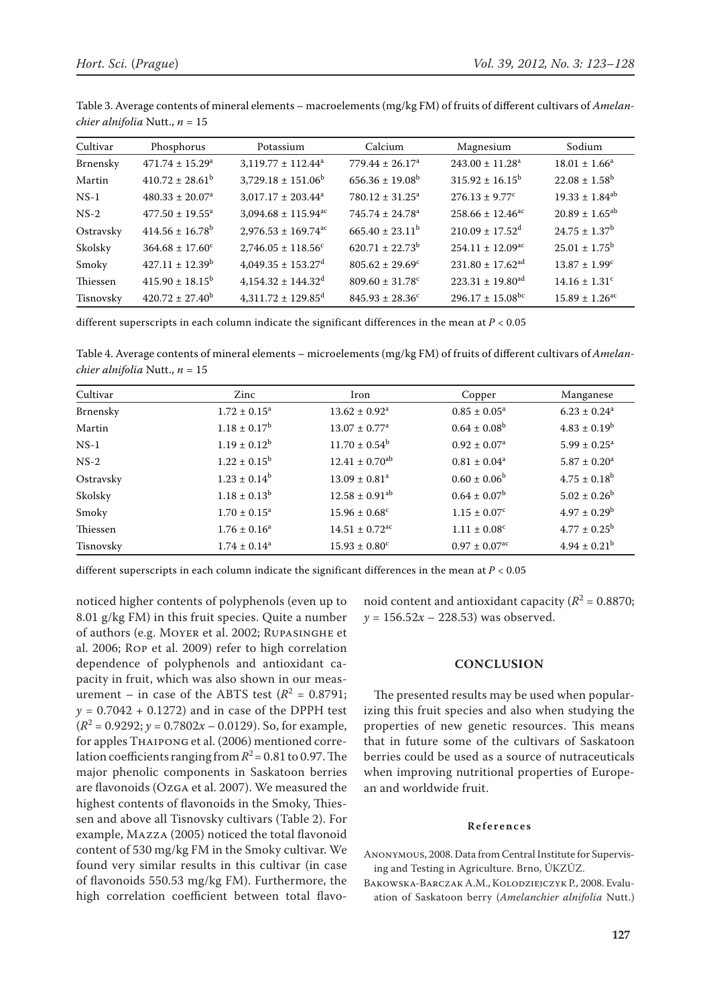| Cultivar  | Phosphorus                      | Potassium                           | Calcium                         | Magnesium                        | Sodium                       |
|-----------|---------------------------------|-------------------------------------|---------------------------------|----------------------------------|------------------------------|
| Brnensky  | $471.74 \pm 15.29^{\text{a}}$   | $3,119.77 \pm 112.44^a$             | $779.44 \pm 26.17^a$            | $243.00 \pm 11.28^a$             | $18.01 \pm 1.66^a$           |
| Martin    | $410.72 \pm 28.61^{\mathrm{b}}$ | $3,729.18 \pm 151.06^b$             | $656.36 \pm 19.08^{\rm b}$      | $315.92 \pm 16.15^{\circ}$       | $22.08 \pm 1.58^{\rm b}$     |
| $NS-1$    | $480.33 \pm 20.07^{\rm a}$      | $3,017.17 \pm 203.44^a$             | $780.12 \pm 31.25^{\circ}$      | $276.13 \pm 9.77^c$              | $19.33 \pm 1.84^{ab}$        |
| $NS-2$    | $477.50 \pm 19.55^a$            | $3,094.68 \pm 115.94$ <sup>ac</sup> | $745.74 \pm 24.78$ <sup>a</sup> | $258.66 \pm 12.46^{\circ}$       | $20.89 \pm 1.65^{ab}$        |
| Ostravsky | $414.56 \pm 16.78^{\rm b}$      | $2,976.53 \pm 169.74$ <sup>ac</sup> | $665.40 \pm 23.11^b$            | $210.09 \pm 17.52$ <sup>d</sup>  | $24.75 \pm 1.37^{\rm b}$     |
| Skolsky   | $364.68 \pm 17.60^{\circ}$      | $2,746.05 \pm 118.56$ <sup>c</sup>  | $620.71 \pm 22.73^{\rm b}$      | $254.11 \pm 12.09$ <sup>ac</sup> | $25.01 \pm 1.75^{\rm b}$     |
| Smoky     | $427.11 \pm 12.39^b$            | $4.049.35 \pm 153.27$ <sup>d</sup>  | $805.62 \pm 29.69^{\circ}$      | $231.80 \pm 17.62$ <sup>ad</sup> | $13.87 \pm 1.99^c$           |
| Thiessen  | $415.90 \pm 18.15^b$            | $4,154.32 \pm 144.32$ <sup>d</sup>  | $809.60 \pm 31.78$ <sup>c</sup> | $223.31 \pm 19.80$ <sup>ad</sup> | $14.16 \pm 1.31^{\circ}$     |
| Tisnovsky | $420.72 \pm 27.40^{\mathrm{b}}$ | $4,311.72 \pm 129.85$ <sup>d</sup>  | $845.93 \pm 28.36^c$            | $296.17 \pm 15.08$ <sup>bc</sup> | $15.89 \pm 1.26^{\text{ac}}$ |

Table 3. Average contents of mineral elements – macroelements (mg/kg FM) of fruits of different cultivars of *Amelanchier alnifolia* Nutt., *n* = 15

different superscripts in each column indicate the significant differences in the mean at *P* < 0.05

Table 4. Average contents of mineral elements – microelements (mg/kg FM) of fruits of different cultivars of *Amelanchier alnifolia* Nutt., *n* = 15

| Cultivar  | Zinc                    | Iron                           | Copper                        | Manganese                    |
|-----------|-------------------------|--------------------------------|-------------------------------|------------------------------|
| Brnensky  | $1.72 \pm 0.15^a$       | $13.62 \pm 0.92^a$             | $0.85 \pm 0.05^{\circ}$       | $6.23 \pm 0.24$ <sup>a</sup> |
| Martin    | $1.18 \pm 0.17^b$       | $13.07 \pm 0.77$ <sup>a</sup>  | $0.64 \pm 0.08^{\rm b}$       | $4.83 \pm 0.19^b$            |
| $NS-1$    | $1.19 \pm 0.12^b$       | $11.70 \pm 0.54^b$             | $0.92 \pm 0.07^{\text{a}}$    | $5.99 \pm 0.25^{\text{a}}$   |
| $NS-2$    | $1.22 \pm 0.15^{\rm b}$ | $12.41 \pm 0.70^{ab}$          | $0.81 \pm 0.04^a$             | $5.87 \pm 0.20^a$            |
| Ostravsky | $1.23 \pm 0.14^b$       | $13.09 \pm 0.81$ <sup>a</sup>  | $0.60 \pm 0.06^{\rm b}$       | $4.75 \pm 0.18^{\rm b}$      |
| Skolsky   | $1.18 \pm 0.13^b$       | $12.58 \pm 0.91$ <sup>ab</sup> | $0.64 \pm 0.07^{\rm b}$       | $5.02 \pm 0.26^b$            |
| Smoky     | $1.70 \pm 0.15^a$       | $15.96 \pm 0.68^{\circ}$       | $1.15 \pm 0.07^c$             | $4.97 \pm 0.29^{\rm b}$      |
| Thiessen  | $1.76 \pm 0.16^a$       | $14.51 \pm 0.72$ <sup>ac</sup> | $1.11 \pm 0.08^{\circ}$       | $4.77 \pm 0.25^{\rm b}$      |
| Tisnovsky | $1.74 \pm 0.14^a$       | $15.93 \pm 0.80^{\circ}$       | $0.97 \pm 0.07$ <sup>ac</sup> | $4.94 \pm 0.21^{\rm b}$      |

different superscripts in each column indicate the significant differences in the mean at *P* < 0.05

noticed higher contents of polyphenols (even up to 8.01 g/kg FM) in this fruit species. Quite a number of authors (e.g. Moyer et al. 2002; Rupasinghe et al. 2006; Rop et al. 2009) refer to high correlation dependence of polyphenols and antioxidant capacity in fruit, which was also shown in our measurement – in case of the ABTS test  $(R^2 = 0.8791;$  $y = 0.7042 + 0.1272$  and in case of the DPPH test  $(R<sup>2</sup> = 0.9292; y = 0.7802x - 0.0129)$ . So, for example, for apples Thaipong et al. (2006) mentioned correlation coefficients ranging from  $R^2$  = 0.81 to 0.97. The major phenolic components in Saskatoon berries are flavonoids (Ozga et al. 2007). We measured the highest contents of flavonoids in the Smoky, Thiessen and above all Tisnovsky cultivars (Table 2). For example, Mazza (2005) noticed the total flavonoid content of 530 mg/kg FM in the Smoky cultivar. We found very similar results in this cultivar (in case of flavonoids 550.53 mg/kg FM). Furthermore, the high correlation coefficient between total flavo-

noid content and antioxidant capacity ( $R^2$  = 0.8870;  $y = 156.52x - 228.53$  was observed.

#### **CONCLUSION**

The presented results may be used when popularizing this fruit species and also when studying the properties of new genetic resources. This means that in future some of the cultivars of Saskatoon berries could be used as a source of nutraceuticals when improving nutritional properties of European and worldwide fruit.

#### **References**

- Anonymous, 2008. Data from Central Institute for Supervising and Testing in Agriculture. Brno, ÚKZÚZ.
- BAKOWSKA-BARCZAK A.M., KOLODZIEJCZYK P., 2008. Evaluation of Saskatoon berry (*Amelanchier alnifolia* Nutt.)